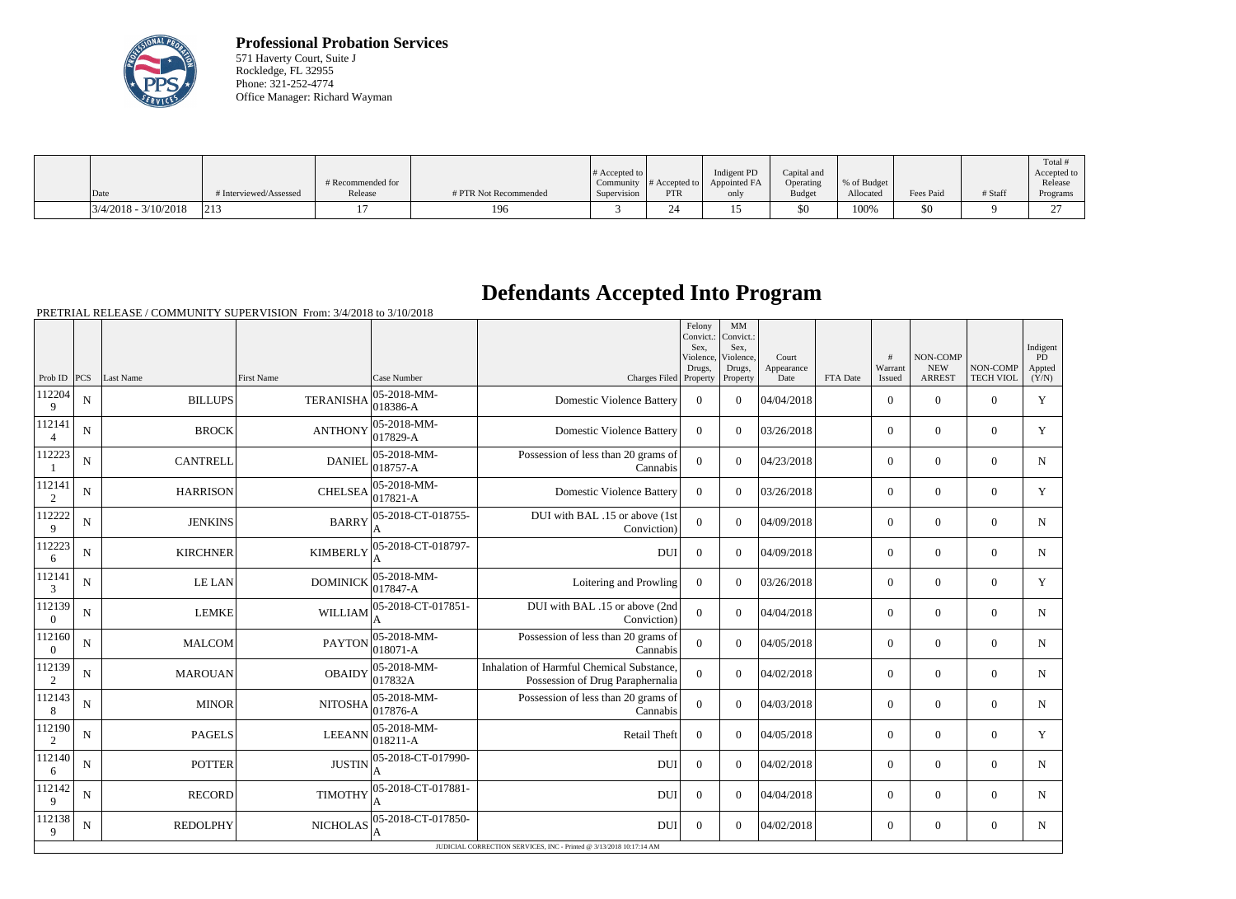

**Professional Probation Services** 571 Haverty Court, Suite J Rockledge, FL 32955 Phone: 321-252-4774 Office Manager: Richard Wayman

| Date                   | # Interviewed/Assessed | # Recommended for<br>Release | # PTR Not Recommended | # Accepted to<br>Supervision | Community $\#$ Accepted to<br>PTR | Indigent PD<br>Appointed FA<br>only | Capital and<br>Operating<br><b>Budget</b> | % of Budget<br>Allocated | Fees Paid | # Staff | Total<br>Accepted to<br>Release<br>Programs |
|------------------------|------------------------|------------------------------|-----------------------|------------------------------|-----------------------------------|-------------------------------------|-------------------------------------------|--------------------------|-----------|---------|---------------------------------------------|
| $3/4/2018 - 3/10/2018$ | $ 21\rangle$           |                              | 196                   |                              |                                   |                                     | \$0                                       | 100%                     | \$0       |         | $\sim$                                      |

## **Defendants Accepted Into Program**

PRETRIAL RELEASE / COMMUNITY SUPERVISION From: 3/4/2018 to 3/10/2018

|                          |             |                 |                                                        |                                      |                                                                               | Felony<br>Convict.:<br>Sex.<br>Violence. | MM<br>Convict.:<br>Sex.<br>Violence. | Court              |          | #                 | NON-COMP                    |                              | Indigent<br>PD  |
|--------------------------|-------------|-----------------|--------------------------------------------------------|--------------------------------------|-------------------------------------------------------------------------------|------------------------------------------|--------------------------------------|--------------------|----------|-------------------|-----------------------------|------------------------------|-----------------|
| Prob ID $ PCS$           |             | Last Name       | <b>First Name</b>                                      | Case Number                          | Charges Filed Property                                                        | Drugs,                                   | Drugs,<br>Property                   | Appearance<br>Date | FTA Date | Warrant<br>Issued | <b>NEW</b><br><b>ARREST</b> | NON-COMP<br><b>TECH VIOL</b> | Appted<br>(Y/N) |
| 112204<br>9              | ${\bf N}$   | <b>BILLUPS</b>  | <b>TERANISHA</b>                                       | $ 05 - 2018 - MM -$<br>018386-A      | <b>Domestic Violence Battery</b>                                              | $\overline{0}$                           | $\Omega$                             | 04/04/2018         |          | $\overline{0}$    | $\theta$                    | $\overline{0}$               | Y               |
| 112141<br>$\overline{4}$ | N           | <b>BROCK</b>    | <b>ANTHONY</b>                                         | $ 05 - 2018 - MM -$<br>$ 017829-A$   | <b>Domestic Violence Battery</b>                                              | $\Omega$                                 | $\Omega$                             | 03/26/2018         |          | $\overline{0}$    | $\overline{0}$              | $\theta$                     | Y               |
| 112223                   | N           | <b>CANTRELL</b> | $ 05 - 2018 - MM -$<br><b>DANIEL</b><br>018757-A       |                                      | Possession of less than 20 grams of<br>Cannabis                               | $\overline{0}$                           | $\Omega$                             | 04/23/2018         |          | $\overline{0}$    | $\theta$                    | $\overline{0}$               | N               |
| 112141<br>$\overline{2}$ | N           | <b>HARRISON</b> | 05-2018-MM-<br><b>CHELSEA</b><br>$ 017821 - A$         |                                      | <b>Domestic Violence Battery</b>                                              | $\boldsymbol{0}$                         | $\Omega$                             | 03/26/2018         |          | $\overline{0}$    | $\overline{0}$              | $\overline{0}$               | Y               |
| 112222<br>9              | N           | <b>JENKINS</b>  | <b>BARRY</b>                                           | 05-2018-CT-018755-<br>A              | DUI with BAL .15 or above (1st<br>Conviction)                                 | $\overline{0}$                           | $\overline{0}$                       | 04/09/2018         |          | $\overline{0}$    | $\mathbf{0}$                | $\Omega$                     | N               |
| 112223<br>6              | N           | <b>KIRCHNER</b> | 05-2018-CT-018797-<br><b>KIMBERLY</b>                  |                                      | <b>DUI</b>                                                                    | $\boldsymbol{0}$                         | $\Omega$                             | 04/09/2018         |          | $\overline{0}$    | $\overline{0}$              | $\overline{0}$               | N               |
| 112141<br>3              | N           | <b>LE LAN</b>   | $ 05 - 2018 - MM -$<br><b>DOMINICK</b><br>$017847 - A$ |                                      | Loitering and Prowling                                                        | $\overline{0}$                           | $\Omega$                             | 03/26/2018         |          | $\overline{0}$    | $\overline{0}$              | $\overline{0}$               | Y               |
| 112139<br>$\overline{0}$ | N           | <b>LEMKE</b>    | 05-2018-CT-017851-<br><b>WILLIAM</b><br>A              |                                      | DUI with BAL .15 or above (2nd<br>Conviction)                                 | $\overline{0}$                           | $\overline{0}$                       | 04/04/2018         |          | $\overline{0}$    | $\mathbf{0}$                | $\theta$                     | $\mathbf N$     |
| 112160<br>$\theta$       | N           | <b>MALCOM</b>   | $ 05 - 2018 - MM -$<br><b>PAYTON</b><br>$ 018071 - A$  |                                      | Possession of less than 20 grams of<br>Cannabis                               | $\Omega$                                 | $\Omega$                             | 04/05/2018         |          | $\overline{0}$    | $\overline{0}$              | $\overline{0}$               | N               |
| 112139<br>2              | N           | <b>MAROUAN</b>  | <b>OBAIDY</b>                                          | $ 05 - 2018 - MM -$<br>017832A       | Inhalation of Harmful Chemical Substance,<br>Possession of Drug Paraphernalia | $\overline{0}$                           | $\overline{0}$                       | 04/02/2018         |          | $\overline{0}$    | $\overline{0}$              | $\overline{0}$               | N               |
| 112143<br>8              | $\mathbf N$ | <b>MINOR</b>    | <b>NITOSHA</b>                                         | $ 05 - 2018 - MM -$<br>$ 017876-A$   | Possession of less than 20 grams of<br>Cannabis                               | $\overline{0}$                           | $\overline{0}$                       | 04/03/2018         |          | $\overline{0}$    | $\mathbf{0}$                | $\overline{0}$               | $\mathbf N$     |
| 112190<br>2              | N           | <b>PAGELS</b>   | <b>LEEANN</b>                                          | $ 05 - 2018 - MM -$<br>$ 018211 - A$ | <b>Retail Theft</b>                                                           | $\Omega$                                 | $\Omega$                             | 04/05/2018         |          | $\overline{0}$    | $\theta$                    | $\Omega$                     | Y               |
| 112140<br>6              | N           | <b>POTTER</b>   | <b>JUSTIN</b>                                          | 05-2018-CT-017990-<br>A              | <b>DUI</b>                                                                    | $\Omega$                                 | $\Omega$                             | 04/02/2018         |          | $\overline{0}$    | $\overline{0}$              | $\theta$                     | $\mathbf N$     |
| 112142<br>9              | N           | <b>RECORD</b>   | 05-2018-CT-017881-<br><b>TIMOTHY</b><br>A              |                                      | <b>DUI</b>                                                                    | $\Omega$                                 | $\Omega$                             | 04/04/2018         |          | $\overline{0}$    | $\theta$                    | $\Omega$                     | N               |
| 112138<br>9              | $\mathbf N$ | <b>REDOLPHY</b> | NICHOLAS                                               | 05-2018-CT-017850-                   | <b>DUI</b>                                                                    | $\boldsymbol{0}$                         | $\Omega$                             | 04/02/2018         |          | $\overline{0}$    | $\overline{0}$              | $\overline{0}$               | N               |
|                          |             |                 |                                                        |                                      | JUDICIAL CORRECTION SERVICES, INC - Printed @ 3/13/2018 10:17:14 AM           |                                          |                                      |                    |          |                   |                             |                              |                 |